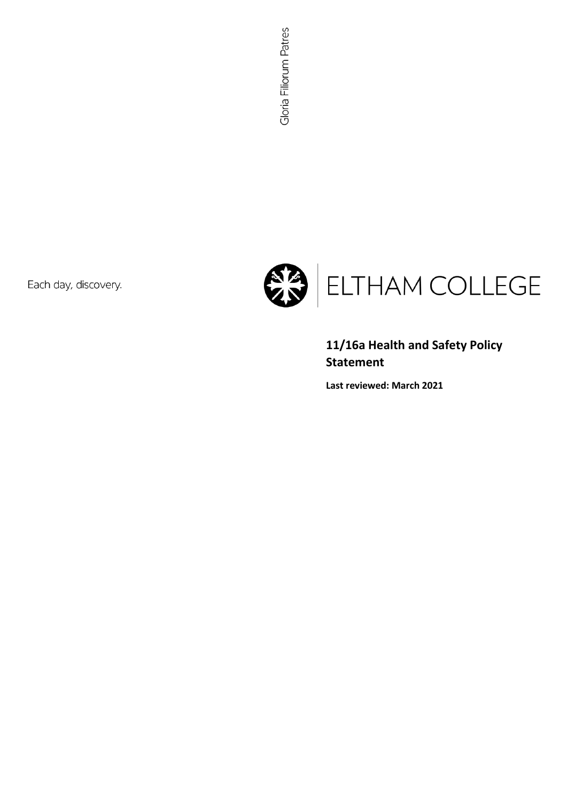Each day, discovery.



**11/16a Health and Safety Policy Statement**

**Last reviewed: March 2021**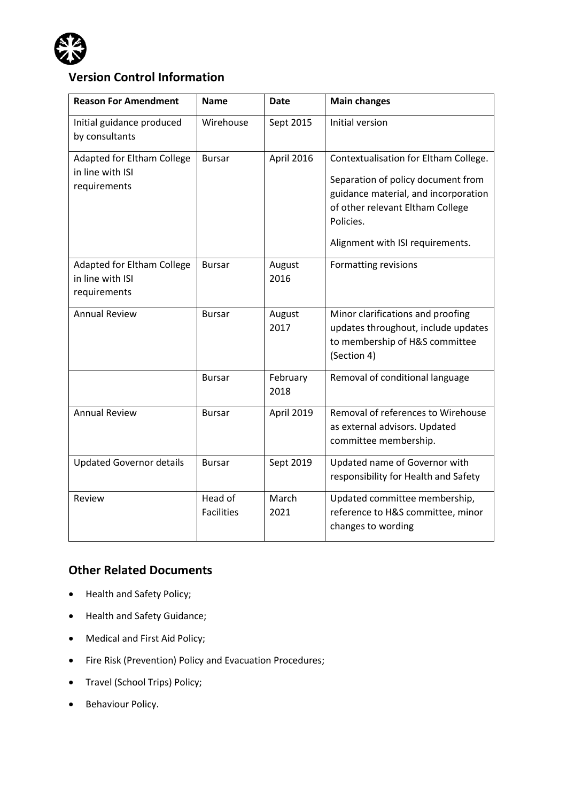

# **Version Control Information**

| <b>Reason For Amendment</b>                                    | <b>Name</b>                  | <b>Date</b>      | <b>Main changes</b>                                                                                                                                                                                      |
|----------------------------------------------------------------|------------------------------|------------------|----------------------------------------------------------------------------------------------------------------------------------------------------------------------------------------------------------|
| Initial guidance produced<br>by consultants                    | Wirehouse                    | Sept 2015        | Initial version                                                                                                                                                                                          |
| Adapted for Eltham College<br>in line with ISI<br>requirements | <b>Bursar</b>                | April 2016       | Contextualisation for Eltham College.<br>Separation of policy document from<br>guidance material, and incorporation<br>of other relevant Eltham College<br>Policies.<br>Alignment with ISI requirements. |
| Adapted for Eltham College<br>in line with ISI<br>requirements | <b>Bursar</b>                | August<br>2016   | <b>Formatting revisions</b>                                                                                                                                                                              |
| <b>Annual Review</b>                                           | <b>Bursar</b>                | August<br>2017   | Minor clarifications and proofing<br>updates throughout, include updates<br>to membership of H&S committee<br>(Section 4)                                                                                |
|                                                                | <b>Bursar</b>                | February<br>2018 | Removal of conditional language                                                                                                                                                                          |
| <b>Annual Review</b>                                           | <b>Bursar</b>                | April 2019       | Removal of references to Wirehouse<br>as external advisors. Updated<br>committee membership.                                                                                                             |
| <b>Updated Governor details</b>                                | <b>Bursar</b>                | Sept 2019        | Updated name of Governor with<br>responsibility for Health and Safety                                                                                                                                    |
| Review                                                         | Head of<br><b>Facilities</b> | March<br>2021    | Updated committee membership,<br>reference to H&S committee, minor<br>changes to wording                                                                                                                 |

# **Other Related Documents**

- Health and Safety Policy;
- Health and Safety Guidance;
- Medical and First Aid Policy;
- Fire Risk (Prevention) Policy and Evacuation Procedures;
- Travel (School Trips) Policy;
- Behaviour Policy.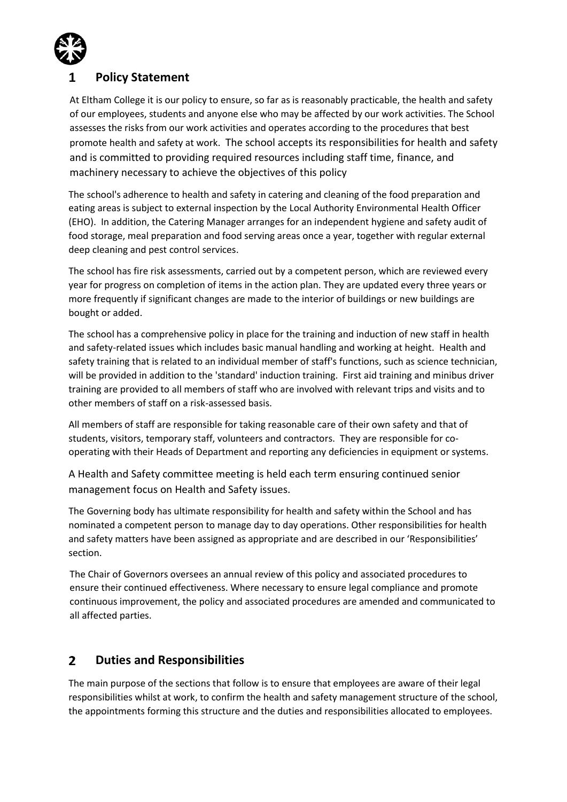

# **Policy Statement**

At Eltham College it is our policy to ensure, so far as is reasonably practicable, the health and safety of our employees, students and anyone else who may be affected by our work activities. The School assesses the risks from our work activities and operates according to the procedures that best promote health and safety at work. The school accepts its responsibilities for health and safety and is committed to providing required resources including staff time, finance, and machinery necessary to achieve the objectives of this policy

The school's adherence to health and safety in catering and cleaning of the food preparation and eating areas is subject to external inspection by the Local Authority Environmental Health Officer (EHO). In addition, the Catering Manager arranges for an independent hygiene and safety audit of food storage, meal preparation and food serving areas once a year, together with regular external deep cleaning and pest control services.

The school has fire risk assessments, carried out by a competent person, which are reviewed every year for progress on completion of items in the action plan. They are updated every three years or more frequently if significant changes are made to the interior of buildings or new buildings are bought or added.

The school has a comprehensive policy in place for the training and induction of new staff in health and safety-related issues which includes basic manual handling and working at height. Health and safety training that is related to an individual member of staff's functions, such as science technician, will be provided in addition to the 'standard' induction training. First aid training and minibus driver training are provided to all members of staff who are involved with relevant trips and visits and to other members of staff on a risk-assessed basis.

All members of staff are responsible for taking reasonable care of their own safety and that of students, visitors, temporary staff, volunteers and contractors. They are responsible for cooperating with their Heads of Department and reporting any deficiencies in equipment or systems.

A Health and Safety committee meeting is held each term ensuring continued senior management focus on Health and Safety issues.

The Governing body has ultimate responsibility for health and safety within the School and has nominated a competent person to manage day to day operations. Other responsibilities for health and safety matters have been assigned as appropriate and are described in our 'Responsibilities' section.

The Chair of Governors oversees an annual review of this policy and associated procedures to ensure their continued effectiveness. Where necessary to ensure legal compliance and promote continuous improvement, the policy and associated procedures are amended and communicated to all affected parties.

#### $\overline{2}$ **Duties and Responsibilities**

The main purpose of the sections that follow is to ensure that employees are aware of their legal responsibilities whilst at work, to confirm the health and safety management structure of the school, the appointments forming this structure and the duties and responsibilities allocated to employees.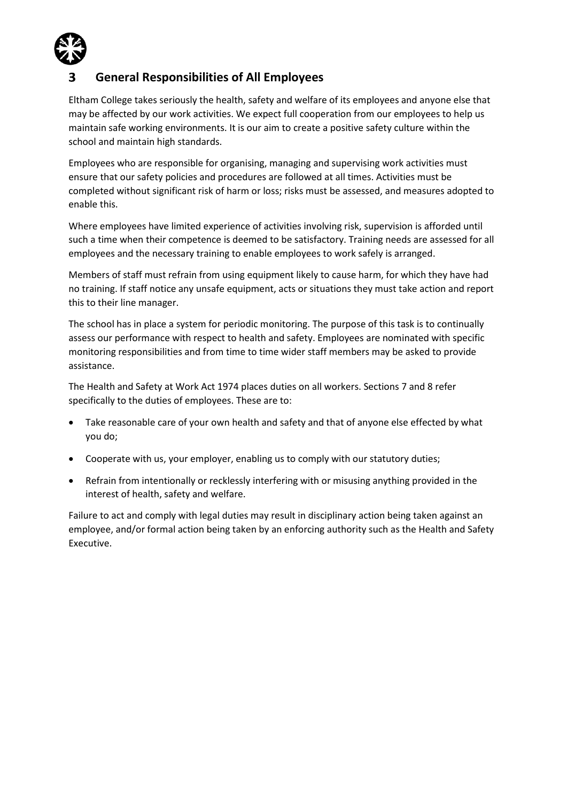

# **General Responsibilities of All Employees**

Eltham College takes seriously the health, safety and welfare of its employees and anyone else that may be affected by our work activities. We expect full cooperation from our employees to help us maintain safe working environments. It is our aim to create a positive safety culture within the school and maintain high standards.

Employees who are responsible for organising, managing and supervising work activities must ensure that our safety policies and procedures are followed at all times. Activities must be completed without significant risk of harm or loss; risks must be assessed, and measures adopted to enable this.

Where employees have limited experience of activities involving risk, supervision is afforded until such a time when their competence is deemed to be satisfactory. Training needs are assessed for all employees and the necessary training to enable employees to work safely is arranged.

Members of staff must refrain from using equipment likely to cause harm, for which they have had no training. If staff notice any unsafe equipment, acts or situations they must take action and report this to their line manager.

The school has in place a system for periodic monitoring. The purpose of this task is to continually assess our performance with respect to health and safety. Employees are nominated with specific monitoring responsibilities and from time to time wider staff members may be asked to provide assistance.

The Health and Safety at Work Act 1974 places duties on all workers. Sections 7 and 8 refer specifically to the duties of employees. These are to:

- Take reasonable care of your own health and safety and that of anyone else effected by what you do;
- Cooperate with us, your employer, enabling us to comply with our statutory duties;
- Refrain from intentionally or recklessly interfering with or misusing anything provided in the interest of health, safety and welfare.

Failure to act and comply with legal duties may result in disciplinary action being taken against an employee, and/or formal action being taken by an enforcing authority such as the Health and Safety Executive.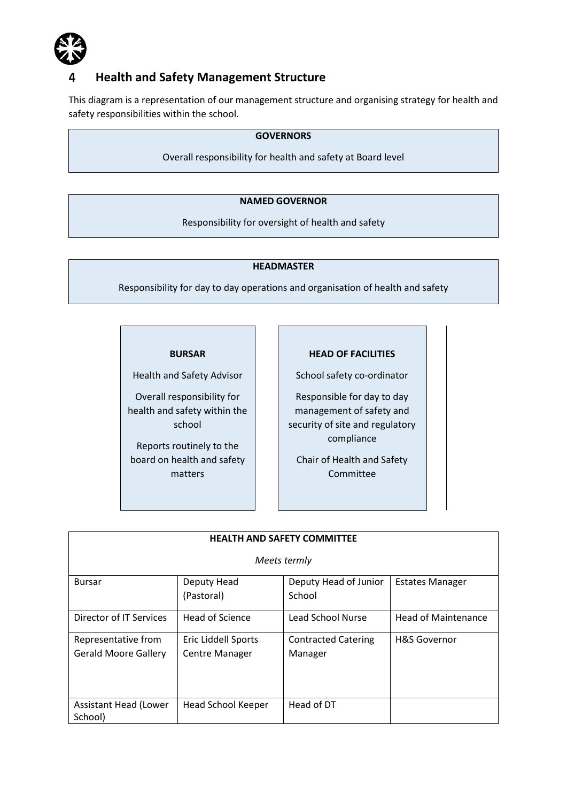

# **Health and Safety Management Structure**

This diagram is a representation of our management structure and organising strategy for health and safety responsibilities within the school.

# **GOVERNORS**

Overall responsibility for health and safety at Board level

### **NAMED GOVERNOR**

Responsibility for oversight of health and safety

### **HEADMASTER**

Responsibility for day to day operations and organisation of health and safety

#### **BURSAR**

Health and Safety Advisor

Overall responsibility for health and safety within the school

Reports routinely to the board on health and safety matters

### **HEAD OF FACILITIES**

School safety co-ordinator

Responsible for day to day management of safety and security of site and regulatory compliance

Chair of Health and Safety Committee

| <b>HEALTH AND SAFETY COMMITTEE</b>                 |                                              |                                       |                            |  |  |  |
|----------------------------------------------------|----------------------------------------------|---------------------------------------|----------------------------|--|--|--|
| Meets termly                                       |                                              |                                       |                            |  |  |  |
| <b>Bursar</b>                                      | Deputy Head<br>(Pastoral)                    | Deputy Head of Junior<br>School       | <b>Estates Manager</b>     |  |  |  |
| Director of IT Services                            | <b>Head of Science</b>                       | Lead School Nurse                     | <b>Head of Maintenance</b> |  |  |  |
| Representative from<br><b>Gerald Moore Gallery</b> | Eric Liddell Sports<br><b>Centre Manager</b> | <b>Contracted Catering</b><br>Manager | <b>H&amp;S Governor</b>    |  |  |  |
| Assistant Head (Lower<br>School)                   | Head School Keeper                           | Head of DT                            |                            |  |  |  |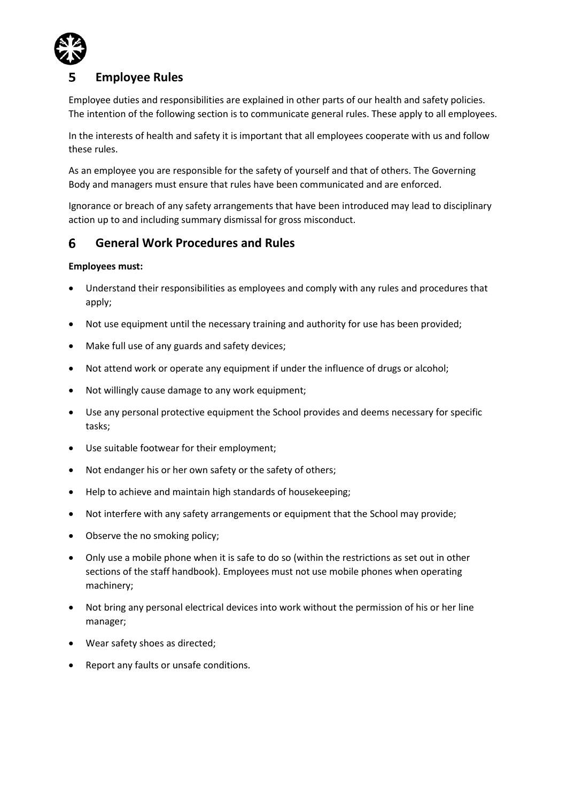

# **Employee Rules**

Employee duties and responsibilities are explained in other parts of our health and safety policies. The intention of the following section is to communicate general rules. These apply to all employees.

In the interests of health and safety it is important that all employees cooperate with us and follow these rules.

As an employee you are responsible for the safety of yourself and that of others. The Governing Body and managers must ensure that rules have been communicated and are enforced.

Ignorance or breach of any safety arrangements that have been introduced may lead to disciplinary action up to and including summary dismissal for gross misconduct.

#### **General Work Procedures and Rules**  6

# **Employees must:**

- Understand their responsibilities as employees and comply with any rules and procedures that apply;
- Not use equipment until the necessary training and authority for use has been provided;
- Make full use of any guards and safety devices;
- Not attend work or operate any equipment if under the influence of drugs or alcohol;
- Not willingly cause damage to any work equipment;
- Use any personal protective equipment the School provides and deems necessary for specific tasks;
- Use suitable footwear for their employment;
- Not endanger his or her own safety or the safety of others;
- Help to achieve and maintain high standards of housekeeping;
- Not interfere with any safety arrangements or equipment that the School may provide;
- Observe the no smoking policy;
- Only use a mobile phone when it is safe to do so (within the restrictions as set out in other sections of the staff handbook). Employees must not use mobile phones when operating machinery;
- Not bring any personal electrical devices into work without the permission of his or her line manager;
- Wear safety shoes as directed;
- Report any faults or unsafe conditions.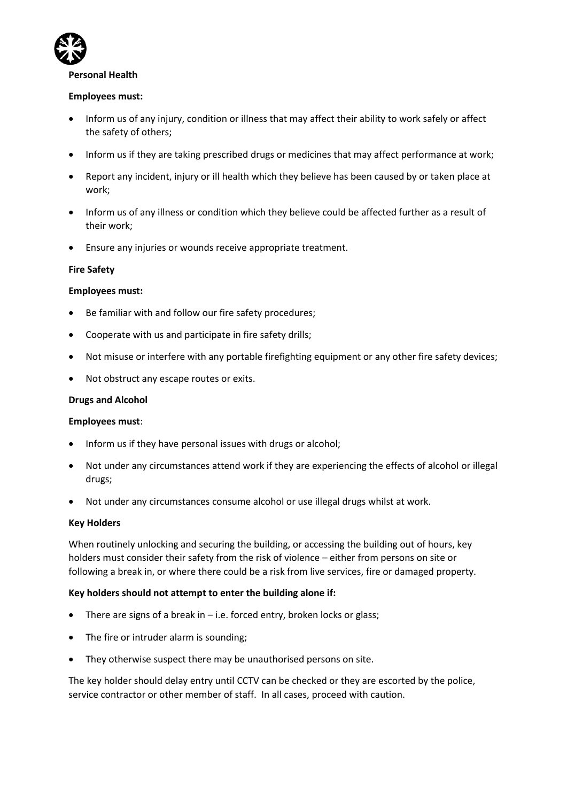

#### **Personal Health**

### **Employees must:**

- Inform us of any injury, condition or illness that may affect their ability to work safely or affect the safety of others;
- Inform us if they are taking prescribed drugs or medicines that may affect performance at work;
- Report any incident, injury or ill health which they believe has been caused by or taken place at work;
- Inform us of any illness or condition which they believe could be affected further as a result of their work;
- Ensure any injuries or wounds receive appropriate treatment.

### **Fire Safety**

### **Employees must:**

- Be familiar with and follow our fire safety procedures;
- Cooperate with us and participate in fire safety drills;
- Not misuse or interfere with any portable firefighting equipment or any other fire safety devices;
- Not obstruct any escape routes or exits.

### **Drugs and Alcohol**

### **Employees must**:

- Inform us if they have personal issues with drugs or alcohol;
- Not under any circumstances attend work if they are experiencing the effects of alcohol or illegal drugs;
- Not under any circumstances consume alcohol or use illegal drugs whilst at work.

### **Key Holders**

When routinely unlocking and securing the building, or accessing the building out of hours, key holders must consider their safety from the risk of violence – either from persons on site or following a break in, or where there could be a risk from live services, fire or damaged property.

### **Key holders should not attempt to enter the building alone if:**

- There are signs of a break in  $-$  i.e. forced entry, broken locks or glass;
- The fire or intruder alarm is sounding;
- They otherwise suspect there may be unauthorised persons on site.

The key holder should delay entry until CCTV can be checked or they are escorted by the police, service contractor or other member of staff. In all cases, proceed with caution.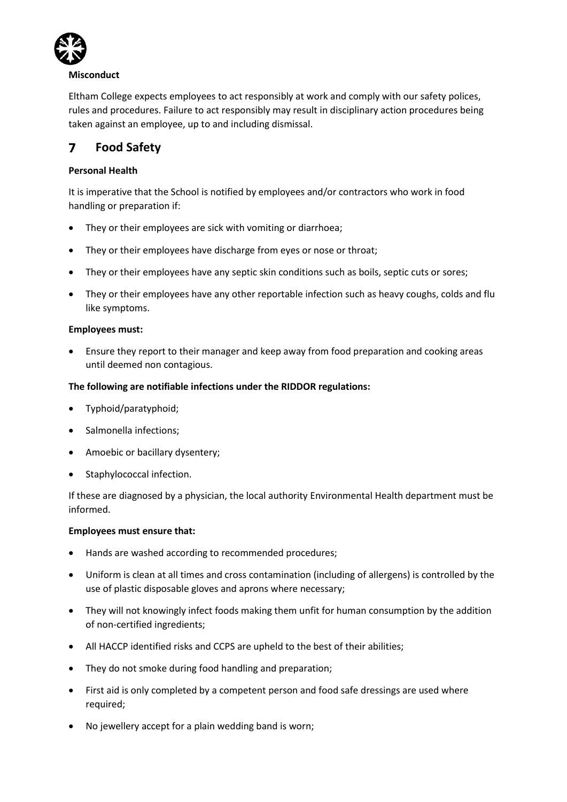

### **Misconduct**

Eltham College expects employees to act responsibly at work and comply with our safety polices, rules and procedures. Failure to act responsibly may result in disciplinary action procedures being taken against an employee, up to and including dismissal.

#### $\overline{ }$ **Food Safety**

# **Personal Health**

It is imperative that the School is notified by employees and/or contractors who work in food handling or preparation if:

- They or their employees are sick with vomiting or diarrhoea;
- They or their employees have discharge from eyes or nose or throat;
- They or their employees have any septic skin conditions such as boils, septic cuts or sores;
- They or their employees have any other reportable infection such as heavy coughs, colds and flu like symptoms.

# **Employees must:**

• Ensure they report to their manager and keep away from food preparation and cooking areas until deemed non contagious.

# **The following are notifiable infections under the RIDDOR regulations:**

- Typhoid/paratyphoid;
- Salmonella infections:
- Amoebic or bacillary dysentery;
- Staphylococcal infection.

If these are diagnosed by a physician, the local authority Environmental Health department must be informed.

### **Employees must ensure that:**

- Hands are washed according to recommended procedures;
- Uniform is clean at all times and cross contamination (including of allergens) is controlled by the use of plastic disposable gloves and aprons where necessary;
- They will not knowingly infect foods making them unfit for human consumption by the addition of non-certified ingredients;
- All HACCP identified risks and CCPS are upheld to the best of their abilities;
- They do not smoke during food handling and preparation;
- First aid is only completed by a competent person and food safe dressings are used where required;
- No jewellery accept for a plain wedding band is worn;